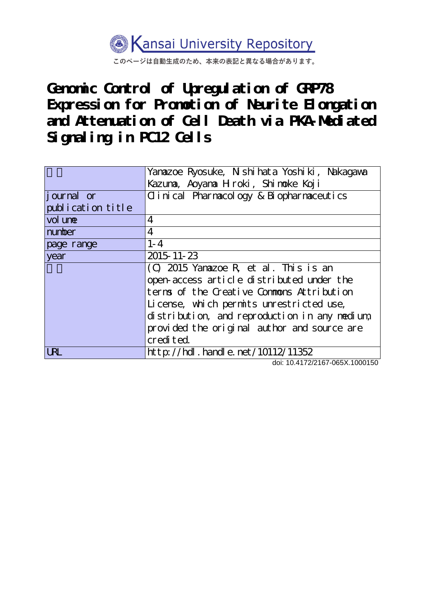

このページは自動生成のため、本来の表記と異なる場合があります。

# **Genomic Control of Upregulation of GRP78 Expression for Promotion of Neurite Elongation and Attenuation of Cell Death via PKA-Mediated Signaling in PC12 Cells**

|                   | Yanazoe Ryosuke, Nishi hata Yoshi ki, Nakagawa |
|-------------------|------------------------------------------------|
|                   | Kazuna, Aoyana Hroki, Shimoke Koji             |
| tiournal or       | Clinical Pharmacology & Biopharmaceutics       |
| publication title |                                                |
| vol une           | 4                                              |
| number            | 4                                              |
| page range        | $1 - 4$                                        |
| year              | 2015-11-23                                     |
|                   | (C) 2015 Yanazoe R, et al. This is an          |
|                   | open-access article distributed under the      |
|                   | terms of the Creative Commons Attribution      |
|                   | License, which permits unrestricted use,       |
|                   | distribution, and reproduction in any medium.  |
|                   | provided the original author and source are    |
|                   | credited.                                      |
| <b>URL</b>        | http://hdl.handle.net/10112/11352              |

doi: 10.4172/2167-065X.1000150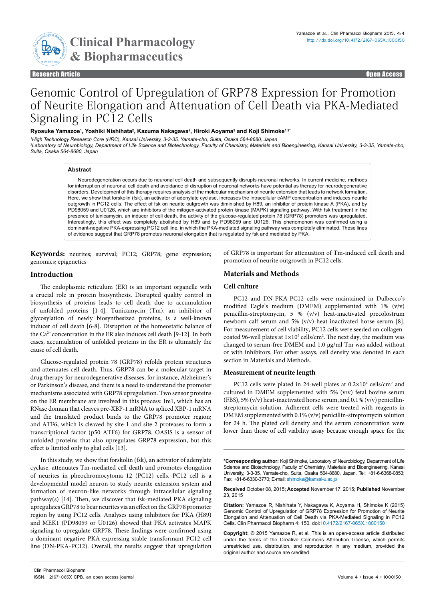

# Genomic Control of Upregulation of GRP78 Expression for Promotion of Neurite Elongation and Attenuation of Cell Death via PKA-Mediated Signaling in PC12 Cells

#### **Ryosuke Yamazoe1 , Yoshiki Nishihata2 , Kazuma Nakagawa2 , Hiroki Aoyama2 and Koji Shimoke1,2\***

*1 High Technology Research Core (HRC), Kansai University, 3-3-35, Yamate-cho, Suita, Osaka 564-8680, Japan 2 Laboratory of Neurobiology, Department of Life Science and Biotechnology, Faculty of Chemistry, Materials and Bioengineering, Kansai University, 3-3-35, Yamate-cho, Suita, Osaka 564-8680, Japan*

#### **Abstract**

Neurodegeneration occurs due to neuronal cell death and subsequently disrupts neuronal networks. In current medicine, methods for interruption of neuronal cell death and avoidance of disruption of neuronal networks have potential as therapy for neurodegenerative disorders. Development of this therapy requires analysis of the molecular mechanism of neurite extension that leads to network formation. Here, we show that forskolin (fsk), an activator of adenylate cyclase, increases the intracellular cAMP concentration and induces neurite outgrowth in PC12 cells. The effect of fsk on neurite outgrowth was diminished by H89, an inhibitor of protein kinase A (PKA), and by PD98059 and U0126, which are inhibitors of the mitogen-activated protein kinase (MAPK) signaling pathway. With fsk treatment in the presence of tunicamycin, an inducer of cell death, the activity of the glucose-regulated protein 78 (GRP78) promoters was upregulated. Interestingly, this effect was completely abolished by H89 and by PD98059 and U0126. This phenomenon was confirmed using a dominant-negative PKA-expressing PC12 cell line, in which the PKA-mediated signaling pathway was completely eliminated. These lines of evidence suggest that GRP78 promotes neuronal elongation that is regulated by fsk and mediated by PKA.

**Keywords:** neurites; survival; PC12; GRP78; gene expression; genomics; epigenetics

#### **Introduction**

The endoplasmic reticulum (ER) is an important organelle with a crucial role in protein biosynthesis. Disrupted quality control in biosynthesis of proteins leads to cell death due to accumulation of unfolded proteins [1-4]. Tunicamycin (Tm), an inhibitor of glycosylation of newly biosynthesized proteins, is a well-known inducer of cell death [6-8]. Disruption of the homeostatic balance of the  $Ca^{2+}$  concentration in the ER also induces cell death [9-12]. In both cases, accumulation of unfolded proteins in the ER is ultimately the cause of cell death.

Glucose-regulated protein 78 (GRP78) refolds protein structures and attenuates cell death. Thus, GRP78 can be a molecular target in drug therapy for neurodegenerative diseases, for instance, Alzheimer's or Parkinson's disease, and there is a need to understand the promoter mechanisms associated with GRP78 upregulation. Two sensor proteins on the ER membrane are involved in this process: Ire1, which has an RNase domain that cleaves pre-XBP-1 mRNA to spliced XBP-1 mRNA and the translated product binds to the GRP78 promoter region; and ATF6, which is cleaved by site-1 and site-2 proteases to form a transcriptional factor (p50 ATF6) for GRP78. OASIS is a sensor of unfolded proteins that also upregulates GRP78 expression, but this effect is limited only to glial cells [13].

In this study, we show that forskolin (fsk), an activator of adenylate cyclase, attenuates Tm-mediated cell death and promotes elongation of neurites in pheochromocytoma 12 (PC12) cells. PC12 cell is a developmental model neuron to study neurite extension system and formation of neuron-like networks through intracellular signaling pathway(s) [14]. Then, we discover that fsk-mediated PKA signaling upregulates GRP78 to bear neurites via an effect on the GRP78 promoter region by using PC12 cells. Analyses using inhibitors for PKA (H89) and MEK1 (PD98059 or U0126) showed that PKA activates MAPK signaling to upregulate GRP78. These findings were confirmed using a dominant-negative PKA-expressing stable transformant PC12 cell line (DN-PKA-PC12). Overall, the results suggest that upregulation

of GRP78 is important for attenuation of Tm-induced cell death and promotion of neurite outgrowth in PC12 cells.

#### **Materials and Methods**

### **Cell culture**

PC12 and DN-PKA-PC12 cells were maintained in Dulbecco's modified Eagle's medium (DMEM) supplemented with 1% (v/v) penicillin-streptomycin, 5 % (v/v) heat-inactivated precolostrum newborn calf serum and 5% (v/v) heat-inactivated horse serum [8]. For measurement of cell viability, PC12 cells were seeded on collagencoated 96-well plates at  $1 \times 10^5$  cells/cm<sup>2</sup>. The next day, the medium was changed to serum-free DMEM and 1.0 µg/ml Tm was added without or with inhibitors. For other assays, cell density was denoted in each section in Materials and Methods.

#### **Measurement of neurite length**

PC12 cells were plated in 24-well plates at  $0.2 \times 10^4$  cells/cm<sup>2</sup> and cultured in DMEM supplemented with 5% (v/v) fetal bovine serum (FBS), 5% (v/v) heat-inactivated horse serum, and  $0.1\%$  (v/v) penicillinstreptomycin solution. Adherent cells were treated with reagents in DMEM supplemented with 0.1% (v/v) penicillin-streptomycin solution for 24 h. The plated cell density and the serum concentration were lower than those of cell viability assay because enough space for the

**<sup>\*</sup>Corresponding author:** Koji Shimoke, Laboratory of Neurobiology, Department of Life Science and Biotechnology, Faculty of Chemistry, Materials and Bioengineering, Kansai University, 3-3-35, Yamate-cho, Suita, Osaka 564-8680, Japan, Tel: +81-6-6368-0853; Fax: +81-6-6330-3770; E-mail: shimoke@kansai-u.ac.jp

**Received** October 08, 2015; **Accepted** November 17, 2015; **Published** November 23, 2015

**Citation:** Yamazoe R, Nishihata Y, Nakagawa K, Aoyama H, Shimoke K (2015) Genomic Control of Upregulation of GRP78 Expression for Promotion of Neurite Elongation and Attenuation of Cell Death via PKA-Mediated Signaling in PC12 Cells. Clin Pharmacol Biopharm 4: 150. doi:[10.4172/2167-065X.1000150](http://dx.doi.org/10.4172/2167-065X.1000150)

**Copyright:** © 2015 Yamazoe R, et al. This is an open-access article distributed under the terms of the Creative Commons Attribution License, which permits unrestricted use, distribution, and reproduction in any medium, provided the original author and source are credited.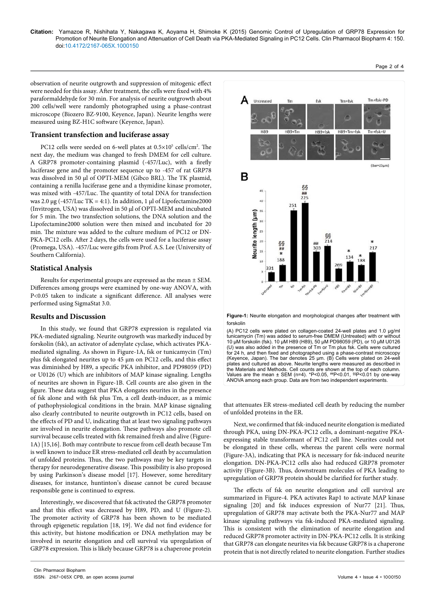**Citation:** Yamazoe R, Nishihata Y, Nakagawa K, Aoyama H, Shimoke K (2015) Genomic Control of Upregulation of GRP78 Expression for Promotion of Neurite Elongation and Attenuation of Cell Death via PKA-Mediated Signaling in PC12 Cells. Clin Pharmacol Biopharm 4: 150. doi:[10.4172/2167-065X.1000150](http://dx.doi.org/10.4172/2167-065X.1000150)

**Untrasted** 

Tm

observation of neurite outgrowth and suppression of mitogenic effect were needed for this assay. After treatment, the cells were fixed with 4% paraformaldehyde for 30 min. For analysis of neurite outgrowth about 200 cells/well were randomly photographed using a phase-contrast microscope (Biozero BZ-9100, Keyence, Japan). Neurite lengths were measured using BZ-H1C software (Keyence, Japan).

#### **Transient transfection and luciferase assay**

PC12 cells were seeded on 6-well plates at 0.5×10<sup>5</sup> cells/cm<sup>2</sup>. The next day, the medium was changed to fresh DMEM for cell culture. A GRP78 promoter-containing plasmid (-457/Luc), with a firefly luciferase gene and the promoter sequence up to -457 of rat GRP78 was dissolved in 50 µl of OPTI-MEM (Gibco BRL). The TK plasmid, containing a renilla luciferase gene and a thymidine kinase promoter, was mixed with -457/Luc. The quantity of total DNA for transfection was 2.0  $\mu$ g (-457/Luc TK = 4:1). In addition, 1  $\mu$ l of Lipofectamine2000 (Invitrogen, USA) was dissolved in 50 µl of OPTI-MEM and incubated for 5 min. The two transfection solutions, the DNA solution and the Lipofectamine2000 solution were then mixed and incubated for 20 min. The mixture was added to the culture medium of PC12 or DN-PKA-PC12 cells. After 2 days, the cells were used for a luciferase assay (Promega, USA). -457/Luc were gifts from Prof. A.S. Lee (University of Southern California).

#### **Statistical Analysis**

Results for experimental groups are expressed as the mean ± SEM. Differences among groups were examined by one-way ANOVA, with P<0.05 taken to indicate a significant difference. All analyses were performed using SigmaStat 3.0.

#### **Results and Discussion**

In this study, we found that GRP78 expression is regulated via PKA-mediated signaling. Neurite outgrowth was markedly induced by forskolin (fsk), an activator of adenylate cyclase, which activates PKAmediated signaling. As shown in Figure-1A, fsk or tunicamycin (Tm) plus fsk elongated neurites up to 45 μm on PC12 cells, and this effect was diminished by H89, a specific PKA inhibitor, and PD98059 (PD) or U0126 (U) which are inhibitors of MAP kinase signaling. Lengths of neurites are shown in Figure-1B. Cell counts are also given in the figure. These data suggest that PKA elongates neurites in the presence of fsk alone and with fsk plus Tm, a cell death-inducer, as a mimic of pathophysiological conditions in the brain. MAP kinase signaling also clearly contributed to neurite outgrowth in PC12 cells, based on the effects of PD and U, indicating that at least two signaling pathways are involved in neurite elongation. These pathways also promote cell survival because cells treated with fsk remained fresh and alive (Figure-1A) [15,16]. Both may contribute to rescue from cell death because Tm is well known to induce ER stress-mediated cell death by accumulation of unfolded proteins. Thus, the two pathways may be key targets in therapy for neurodegenerative disease. This possibility is also proposed by using Parkinson's disease model [17]. However, some hereditary diseases, for instance, huntinton's disease cannot be cured because responsible gene is continued to express.

Interestingly, we discovered that fsk activated the GRP78 promoter and that this effect was decreased by H89, PD, and U (Figure-2). The promoter activity of GRP78 has been shown to be mediated through epigenetic regulation [18, 19]. We did not find evidence for this activity, but histone modification or DNA methylation may be involved in neurite elongation and cell survival via upregulation of GRP78 expression. This is likely because GRP78 is a chaperone protein



 $f<sub>c</sub>$ 

 $Tm + f < k$ 

Page 2 of 4

Tm+fsk+PD

ANOVA among each group. Data are from two independent experiments.

Values are the mean ± SEM (n=4). \*P<0.05, ##P<0.01, §§P<0.01 by one-way

that attenuates ER stress-mediated cell death by reducing the number of unfolded proteins in the ER.

Next, we confirmed that fsk-induced neurite elongation is mediated through PKA, using DN-PKA-PC12 cells, a dominant-negative PKAexpressing stable transformant of PC12 cell line. Neurites could not be elongated in these cells, whereas the parent cells were normal (Figure-3A), indicating that PKA is necessary for fsk-induced neurite elongation. DN-PKA-PC12 cells also had reduced GRP78 promoter activity (Figure-3B). Thus, downstream molecules of PKA leading to upregulation of GRP78 protein should be clarified for further study.

The effects of fsk on neurite elongation and cell survival are summarized in Figure-4. PKA activates Rap1 to activate MAP kinase signaling [20] and fsk induces expression of Nur77 [21]. Thus, upregulation of GRP78 may activate both the PKA-Nur77 and MAP kinase signaling pathways via fsk-induced PKA-mediated signaling. This is consistent with the elimination of neurite elongation and reduced GRP78 promoter activity in DN-PKA-PC12 cells. It is striking that GRP78 can elongate neurites via fsk because GRP78 is a chaperone protein that is not directly related to neurite elongation. Further studies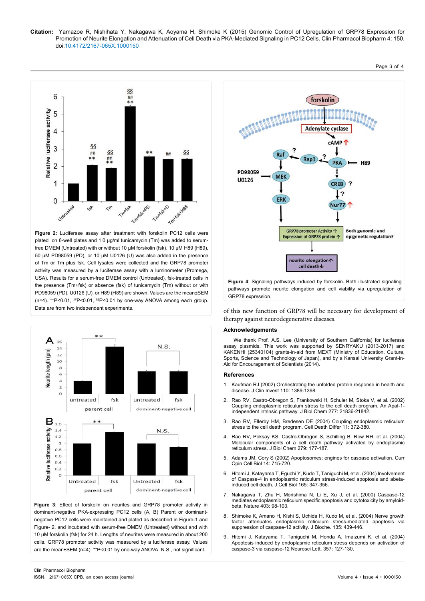**Citation:** Yamazoe R, Nishihata Y, Nakagawa K, Aoyama H, Shimoke K (2015) Genomic Control of Upregulation of GRP78 Expression for Promotion of Neurite Elongation and Attenuation of Cell Death via PKA-Mediated Signaling in PC12 Cells. Clin Pharmacol Biopharm 4: 150. doi:[10.4172/2167-065X.1000150](http://dx.doi.org/10.4172/2167-065X.1000150)



**Figure 2:** Luciferase assay after treatment with forskolin PC12 cells were plated on 6-well plates and 1.0 µg/ml tunicamycin (Tm) was added to serumfree DMEM (Untreated) with or without 10 µM forskolin (fsk). 10 µM H89 (H89), 50 µM PD98059 (PD), or 10 µM U0126 (U) was also added in the presence of Tm or Tm plus fsk. Cell lysates were collected and the GRP78 promoter activity was measured by a luciferase assay with a luminometer (Promega, USA). Results for a serum-free DMEM control (Untreated), fsk-treated cells in the presence (Tm+fsk) or absence (fsk) of tunicamycin (Tm) without or with PD98059 (PD), U0126 (U), or H89 (H89) are shown. Values are the mean±SEM (n=4). \*\*P<0.01,  $H$ <sup>-++</sup>P<0.01, §§P<0.01 by one-way ANOVA among each group. Data are from two independent experiments.



**Figure 3**: Effect of forskolin on neurites and GRP78 promoter activity in dominant-negative PKA-expressing PC12 cells (A, B) Parent or dominantnegative PC12 cells were maintained and plated as described in Figure-1 and Figure- 2, and incubated with serum-free DMEM (Untreated) without and with 10 µM forskolin (fsk) for 24 h. Lengths of neurites were measured in about 200 cells. GRP78 promoter activity was measured by a luciferase assay. Values are the mean±SEM (n=4). \*\*P<0.01 by one-way ANOVA. N.S., not significant.



of this new function of GRP78 will be necessary for development of therapy against neurodegenerative diseases.

#### **Acknowledgements**

We thank Prof. A.S. Lee (University of Southern California) for luciferase assay plasmids. This work was supported by SENRYAKU (2013-2017) and KAKENHI (25340104) grants-in-aid from MEXT (Ministry of Education, Culture, Sports, Science and Technology of Japan), and by a Kansai University Grant-in-Aid for Encouragement of Scientists (2014).

#### **References**

- 1. [Kaufman RJ \(2002\) Orchestrating the unfolded protein response in health and](http://www.ncbi.nlm.nih.gov/pmc/articles/PMC151822/)  [disease. J Clin Invest 110: 1389-1398.](http://www.ncbi.nlm.nih.gov/pmc/articles/PMC151822/)
- 2. [Rao RV, Castro-Obregon S, Frankowski H, Schuler M, Stoka V, et al. \(2002\)](http://www.ncbi.nlm.nih.gov/pubmed/11919205)  [Coupling endoplasmic reticulum stress to the cell death program. An Apaf-1](http://www.ncbi.nlm.nih.gov/pubmed/11919205) [independent intrinsic pathway. J Biol Chem 277: 21836-21842.](http://www.ncbi.nlm.nih.gov/pubmed/11919205)
- 3. [Rao RV, Ellerby HM, Bredesen DE \(2004\) Coupling endoplasmic reticulum](http://www.ncbi.nlm.nih.gov/pubmed/14765132)  [stress to the cell death program. Cell Death Differ 11: 372-380.](http://www.ncbi.nlm.nih.gov/pubmed/14765132)
- 4. [Rao RV, Poksay KS, Castro-Obregon S, Schilling B, Row RH, et al. \(2004\)](http://www.ncbi.nlm.nih.gov/pubmed/14561754)  [Molecular components of a cell death pathway activated by endoplasmic](http://www.ncbi.nlm.nih.gov/pubmed/14561754)  [reticulum stress. J Biol Chem 279: 177-187.](http://www.ncbi.nlm.nih.gov/pubmed/14561754)
- 5. [Adams JM, Cory S \(2002\) Apoptosomes: engines for caspase activation. Curr](http://www.ncbi.nlm.nih.gov/pubmed/12473344)  [Opin Cell Biol 14: 715-720.](http://www.ncbi.nlm.nih.gov/pubmed/12473344)
- 6. [Hitomi J, Katayama T, Eguchi Y, Kudo T, Taniguchi M, et al. \(2004\) Involvement](http://www.ncbi.nlm.nih.gov/pubmed/15123740)  [of Caspase-4 in endoplasmic reticulum stress-induced apoptosis and abeta](http://www.ncbi.nlm.nih.gov/pubmed/15123740)[induced cell death. J Cell Biol 165: 347-356.](http://www.ncbi.nlm.nih.gov/pubmed/15123740)
- 7. [Nakagawa T, Zhu H, Morishima N, Li E, Xu J, et al. \(2000\) Caspase-12](http://www.ncbi.nlm.nih.gov/pubmed/10638761)  [mediates endoplasmic reticulum specific apoptosis and cytotoxicity by amyloid](http://www.ncbi.nlm.nih.gov/pubmed/10638761)[beta. Nature 403: 98-103.](http://www.ncbi.nlm.nih.gov/pubmed/10638761)
- 8. [Shimoke K, Amano H, Kishi S, Uchida H, Kudo M, et al. \(2004\) Nerve growth](http://www.ncbi.nlm.nih.gov/pubmed/15113843)  [factor attenuates endoplasmic reticulum stress-mediated apoptosis via](http://www.ncbi.nlm.nih.gov/pubmed/15113843)  [suppression of caspase-12 activity. J Bioche. 135: 439-446.](http://www.ncbi.nlm.nih.gov/pubmed/15113843)
- 9. [Hitomi J, Katayama T, Taniguchi M, Honda A, Imaizumi K, et al. \(2004\)](http://www.ncbi.nlm.nih.gov/pubmed/15036591)  [Apoptosis induced by endoplasmic reticulum stress depends on activation of](http://www.ncbi.nlm.nih.gov/pubmed/15036591)  [caspase-3 via caspase-12 Neurosci Lett. 357: 127-130.](http://www.ncbi.nlm.nih.gov/pubmed/15036591)

ISSN: 2167-065X CPB, an open access journal

Page 3 of 4